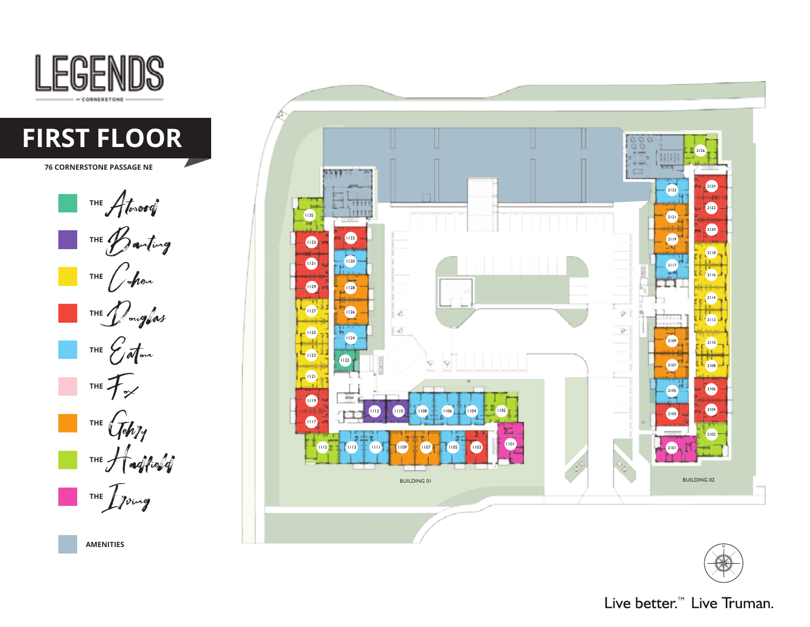





**AMENITIES**

Live better.<sup>™</sup> Live Truman.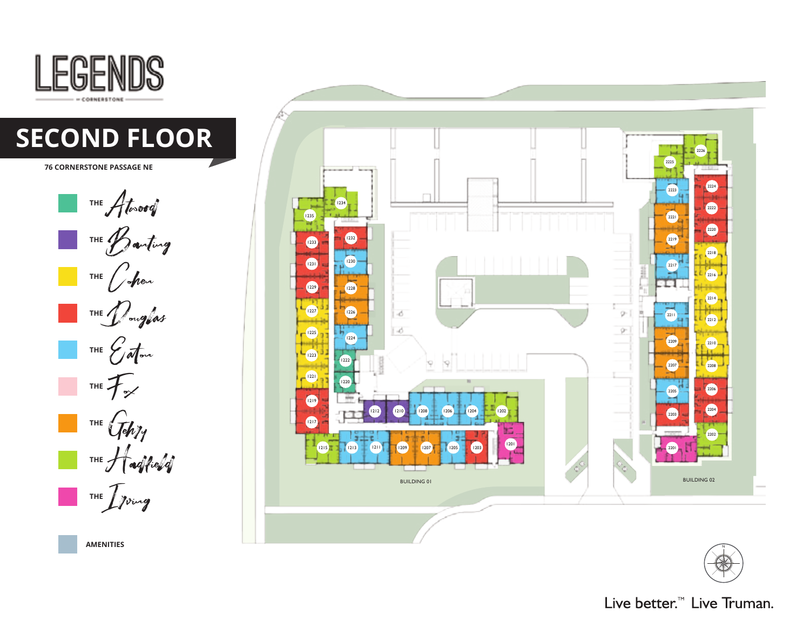





Live better.<sup>™</sup> Live Truman.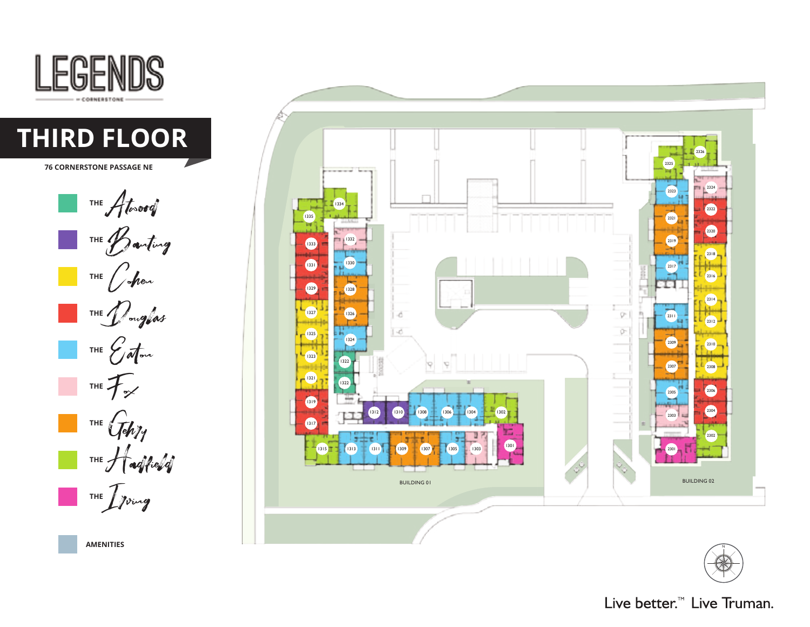